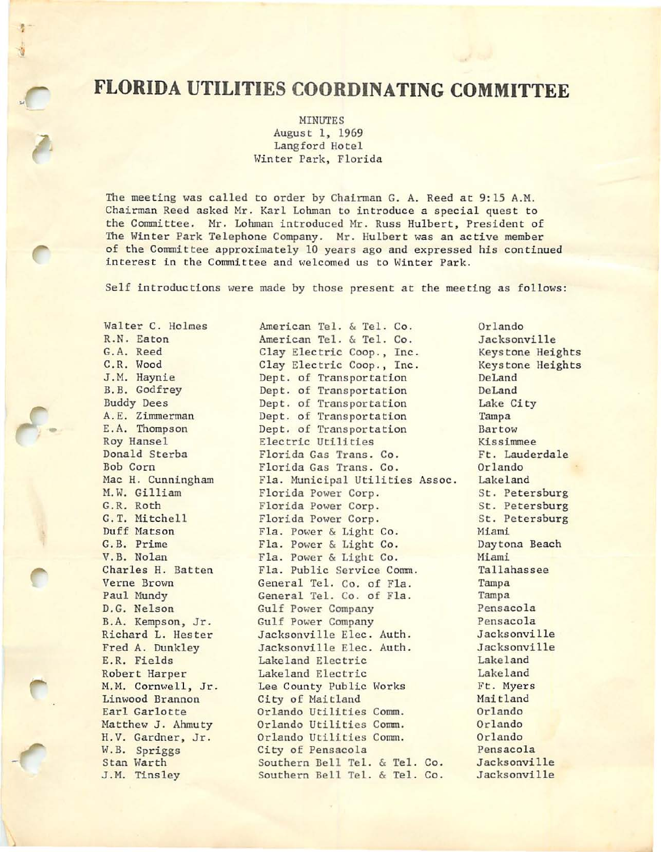# **FLORIDA UTILITIES COORDINATING COMMITTEE**

MINUTES August 1, 1969 Langford Hotel Winter Park, Florida

The meeting was called to order by Chairman G. A. Reed at 9:15 A.H. Chairman Reed asked Mr. Karl Lohman to introduce a special quest to the Committee. Mr. Lohman introduced Mr. Russ Hulbert, President of The Winter Park Telephone Company. Mr. Hulbert was an active member of the Committee approximately 10 years ago and expressed his continued interest in the Committee and welcomed us to Winter Park.

Self introductions were made by those present at the meeting as follows:

American Tel. & Tel. Co.

Walter C. Holmes R.N. Eaton G.A. Reed C.R. Wood J.H. Haynie B.B. Godfrey Buddy Dees A. E. Zimmerman E.A. Thompson Roy Hansel Donald Sterba Bob Corn Mac H. Cunningham M.W. Gilliam G.R. Roth G. T. Mitchell Duff Matson G. B. Prime V.B. Nolan Charles H. Batten Verne Brown Paul Mundy D.G. Nelson B.A. Kempson, Jr. Richard L. Hester Fred A. Dunkley E.R. Fields Robert Harper M.M. Cornwell, Jr. Linwood Brannon Earl Garlotte Matthew J. Ahmuty H.V. Gardner, Jr. W.B. Spriggs Stan Warth J.M. Tinsley

•

American Tel. & Tel. Co. Clay Electric Coop., Inc. Clay Electric Coop., Inc. Dept. of Transportation Dept. of Transportation Dept. of Transportation Dept. of Transportation Dept. of Transportation Electric Utilities Florida Gas Trans. Co. Florida Gas Trans. Co. Fla. Municipal Utilities Assoc. Florida Power Corp. Florida Power Corp. Florida Power Corp. Fla. Power & Light Co. Fla. Power & Light Co. Fla. Power & Light Co. Fla. Public Service Comm. General Tel. Co. of Fla. General Tel. Co. of Fla. Gulf Power Company Gulf Power Company Jacksonville Elec. Auth. Jacksonville Elec. Auth. Lakeland Electric Lakeland Electric Lee County Public Works City of Maitland Orlando Utilities Comm. Orlando Utilities Comm. Orlando Utilities Comm. City of Pensacola Southern Bell Tel. & Tel. Co. Southern Bell Tel. & Tel. Co.

Orlando Jacksonville Keystone Heights Keystone Heights DeLand DeLand Lake City Tampa Bartow Kissimmee Ft. Lauderdale Orlando Lakeland St. Petersburg St. Petersburg St. Petersburg Miami Daytona Beach Miami Tallahassee Tampa Tampa Pensacola Pensacola Jacksonville Jacksonville Lakeland Lake land Ft. Myers Maitland Orlando Or lando Orlando Pensacola Jacksonville Jacksonville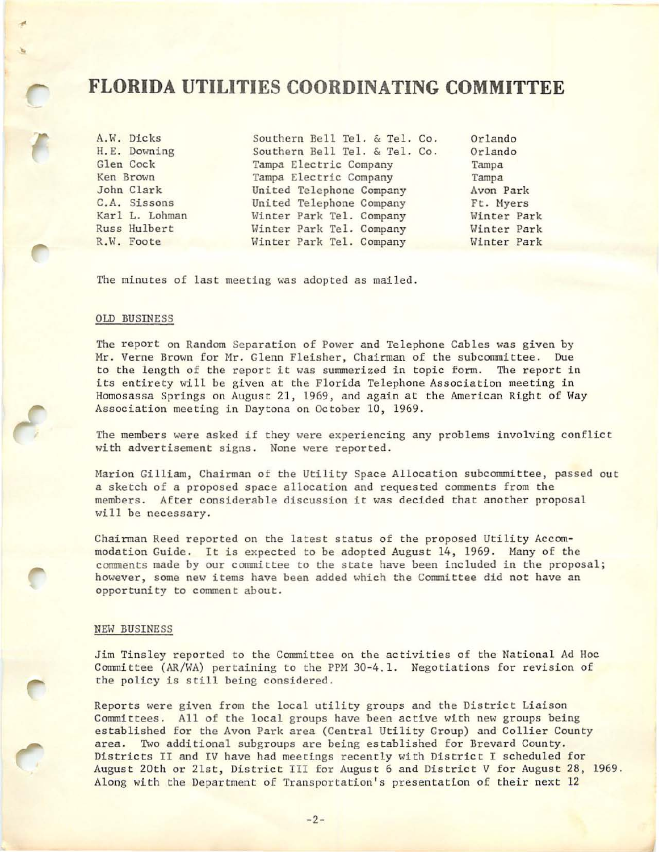## **FLORIDA UTILITIES COORDINATING COMMITTEE**

..

A.W. Dicks Southern Bell Tel. & Tel. Co. Orlando<br>H.E. Downing Southern Bell Tel. & Tel. Co. Orlando H.E. Downing Southern Bell Tel. & Tel. Co. Orlando<br>Glen Cock Tampa Electric Company Tampa Glen Cock Tampa Electric Company Tampa<br>
Tampa Electric Company Tampa<br>
Tampa Electric Company Tampa Tampa Electric Company Tampa John Clark United Telephone Company Avon Park United Telephone Company Ft. Myers Karl L. Lohman Minter Park Tel. Company Minter Park<br>Russ Hulbert Minter Park Tel. Company Minter Park Russ Hulbert **1. Winter Park Tel. Company** 1988 Minter Park Winter Park R.W. Foote 1989 Minter Park Hinter Park Winter Park Tel. Company Winter Park

The minutes of last meeting was adopted as mailed.

#### OLD BUSINESS

The report on Random Separation of Power and Telephone Cables was given by Mr. Verne Brown for Mr. Glenn Fleisher, Chairman of the subcommittee. Due to the length of the report it was summerized in topic form. The report in its entirety will be given at the Florida Telephone Association meeting in Homosassa Springs on August 21, 1969, and again at the American Right of Way Association meeting in Daytona on October 10, 1969.

The members were asked if they were experiencing any problems involving conflict with advertisement signs. None were reported.

Marion Gilliam, Chairman of the Utility Space Allocation subcommittee, passed out a sketch of a proposed space allocation and requested comments from the members. After considerable discussion it was decided that another proposal will be necessary.

Chairman Reed reported on the latest status of the proposed Utility Accommodation Guide. It is expected to be adopted August 14, 1969. Many of the comments made by our committee to the state have been included in the proposal; however, some new items have been added which the Committee did not have an opportunity to comment about.

#### NEW BUSINESS

Jim Tinsley reported to the Committee on the activities of the National Ad Hoc Committee (AR/WA) pertaining to the PPM 30-4.1. Negotiations for revision of the policy is still being considered.

Reports were given from the local utility groups and the District Liaison Committees. All of the local groups have been active with new groups being established for the Avon Park area (Central Utility Group) and Collier County area. Two additional subgroups are being established for Brevard County. Districts II and IV have had meetings recently with District I scheduled for August 20th or 21st, District III for August 6 and District V for August 28, 1969. Along with the Department of Transportation's presentation of their next 12